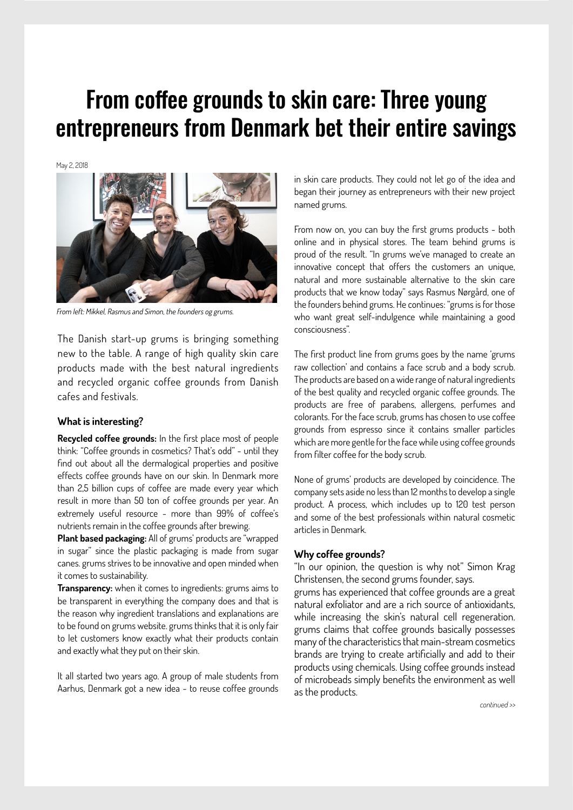# From coffee grounds to skin care: Three young entrepreneurs from Denmark bet their entire savings

May 2, 2018



From left: Mikkel, Rasmus and Simon, the founders og grums.

The Danish start-up [grums](https://grumsaarhus.com) is bringing something new to the table. A range of high quality skin care products made with the best natural ingredients and recycled organic coffee grounds from Danish cafes and festivals.

### **What is interesting?**

**Recycled coffee grounds:** In the first place most of people think: "Coffee grounds in cosmetics? That's odd" - until they find out about all the dermalogical properties and positive effects coffee grounds have on our skin. In Denmark more than 2,5 billion cups of coffee are made every year which result in more than 50 ton of coffee grounds per year. An extremely useful resource - more than 99% of coffee's nutrients remain in the coffee grounds after brewing.

**Plant based packaging:** All of grums' products are "wrapped in sugar" since the plastic packaging is made from sugar canes. grums strives to be innovative and open minded when it comes to sustainability.

**Transparency:** when it comes to ingredients: grums aims to be transparent in everything the company does and that is the reason why ingredient translations and explanations are to be found on grums website. grums thinks that it is only fair to let customers know exactly what their products contain and exactly what they put on their skin.

It all started two years ago. A group of male students from Aarhus, Denmark got a new idea - to reuse coffee grounds in skin care products. They could not let go of the idea and began their journey as entrepreneurs with their new project named grums.

From now on, you can buy the first grums products - both online and in physical stores. The team behind grums is proud of the result. "In grums we've managed to create an innovative concept that offers the customers an unique, natural and more sustainable alternative to the skin care products that we know today" says Rasmus Nørgård, one of the founders behind grums. He continues: "grums is for those who want great self-indulgence while maintaining a good consciousness".

The first product line from grums goes by the name 'grums raw collection' and contains a face scrub and a body scrub. The products are based on a wide range of natural ingredients of the best quality and recycled organic coffee grounds. The products are free of parabens, allergens, perfumes and colorants. For the face scrub, grums has chosen to use coffee grounds from espresso since it contains smaller particles which are more gentle for the face while using coffee grounds from filter coffee for the body scrub.

None of grums' products are developed by coincidence. The company sets aside no less than 12 months to develop a single product. A process, which includes up to 120 test person and some of the best professionals within natural cosmetic articles in Denmark.

### **Why coffee grounds?**

"In our opinion, the question is why not" Simon Krag Christensen, the second grums founder, says.

grums has experienced that coffee grounds are a great natural exfoliator and are a rich source of antioxidants, while increasing the skin's natural cell regeneration. grums claims that coffee grounds basically possesses many of the characteristics that main-stream cosmetics brands are trying to create artificially and add to their products using chemicals. Using coffee grounds instead of microbeads simply benefits the environment as well as the products.

continued >>